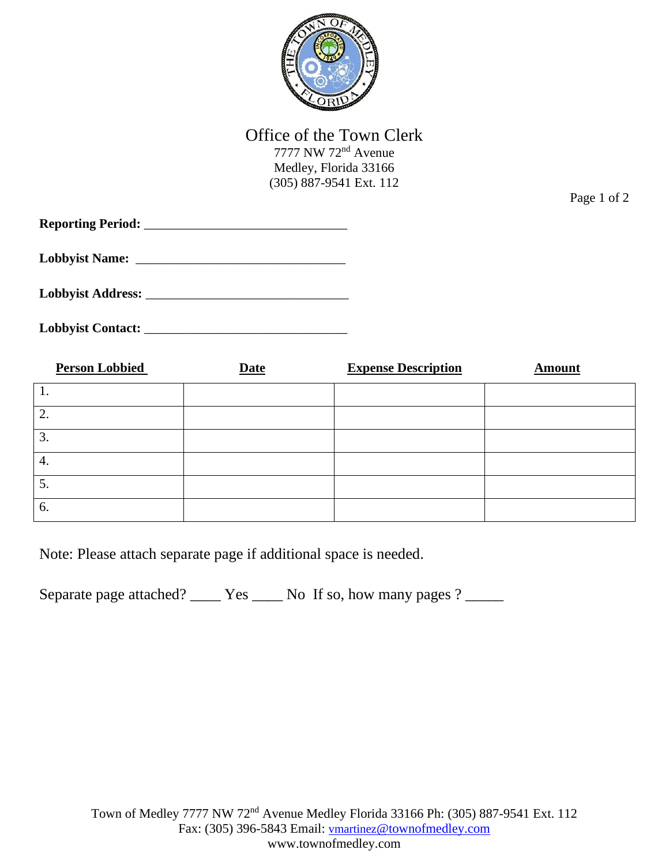

## Office of the Town Clerk

7777 NW 72nd Avenue Medley, Florida 33166 (305) 887-9541 Ext. 112

Page 1 of 2

**Reporting Period:** \_\_\_\_\_\_\_\_\_\_\_\_\_\_\_\_\_\_\_\_\_\_\_\_\_\_\_\_\_\_\_

Lobbyist Name:

**Lobbyist Address:** \_\_\_\_\_\_\_\_\_\_\_\_\_\_\_\_\_\_\_\_\_\_\_\_\_\_\_\_\_\_\_

**Lobbyist Contact:** \_\_\_\_\_\_\_\_\_\_\_\_\_\_\_\_\_\_\_\_\_\_\_\_\_\_\_\_\_\_\_

| <b>Person Lobbied</b> | <b>Date</b> | <b>Expense Description</b> | <b>Amount</b> |
|-----------------------|-------------|----------------------------|---------------|
|                       |             |                            |               |
| 2.                    |             |                            |               |
| 3.                    |             |                            |               |
| 4.                    |             |                            |               |
| 5.                    |             |                            |               |
| 6.                    |             |                            |               |

Note: Please attach separate page if additional space is needed.

Separate page attached? \_\_\_\_\_ Yes \_\_\_\_\_ No If so, how many pages ? \_\_\_\_\_